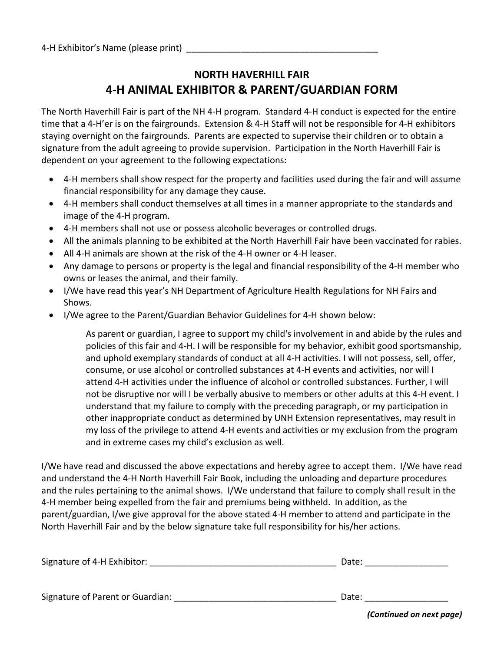## **NORTH HAVERHILL FAIR 4‐H ANIMAL EXHIBITOR & PARENT/GUARDIAN FORM**

The North Haverhill Fair is part of the NH 4‐H program. Standard 4‐H conduct is expected for the entire time that a 4‐H'er is on the fairgrounds. Extension & 4‐H Staff will not be responsible for 4‐H exhibitors staying overnight on the fairgrounds. Parents are expected to supervise their children or to obtain a signature from the adult agreeing to provide supervision. Participation in the North Haverhill Fair is dependent on your agreement to the following expectations:

- 4‐H members shall show respect for the property and facilities used during the fair and will assume financial responsibility for any damage they cause.
- 4-H members shall conduct themselves at all times in a manner appropriate to the standards and image of the 4‐H program.
- 4‐H members shall not use or possess alcoholic beverages or controlled drugs.
- All the animals planning to be exhibited at the North Haverhill Fair have been vaccinated for rabies.
- All 4‐H animals are shown at the risk of the 4‐H owner or 4‐H leaser.
- Any damage to persons or property is the legal and financial responsibility of the 4‐H member who owns or leases the animal, and their family.
- I/We have read this year's NH Department of Agriculture Health Regulations for NH Fairs and Shows.
- I/We agree to the Parent/Guardian Behavior Guidelines for 4-H shown below:

As parent or guardian, I agree to support my child's involvement in and abide by the rules and policies of this fair and 4‐H. I will be responsible for my behavior, exhibit good sportsmanship, and uphold exemplary standards of conduct at all 4‐H activities. I will not possess, sell, offer, consume, or use alcohol or controlled substances at 4‐H events and activities, nor will I attend 4‐H activities under the influence of alcohol or controlled substances. Further, I will not be disruptive nor will I be verbally abusive to members or other adults at this 4‐H event. I understand that my failure to comply with the preceding paragraph, or my participation in other inappropriate conduct as determined by UNH Extension representatives, may result in my loss of the privilege to attend 4‐H events and activities or my exclusion from the program and in extreme cases my child's exclusion as well.

I/We have read and discussed the above expectations and hereby agree to accept them. I/We have read and understand the 4‐H North Haverhill Fair Book, including the unloading and departure procedures and the rules pertaining to the animal shows. I/We understand that failure to comply shall result in the 4‐H member being expelled from the fair and premiums being withheld. In addition, as the parent/guardian, I/we give approval for the above stated 4‐H member to attend and participate in the North Haverhill Fair and by the below signature take full responsibility for his/her actions.

| Signature of 4-H Exhibitor:      | Date:                                                                                                                          |
|----------------------------------|--------------------------------------------------------------------------------------------------------------------------------|
| Signature of Parent or Guardian: | Date:<br>$\mathbf{r}$ , $\mathbf{r}$ , $\mathbf{r}$ , $\mathbf{r}$ , $\mathbf{r}$ , $\mathbf{r}$ , $\mathbf{r}$ , $\mathbf{r}$ |

*(Continued on next page)*